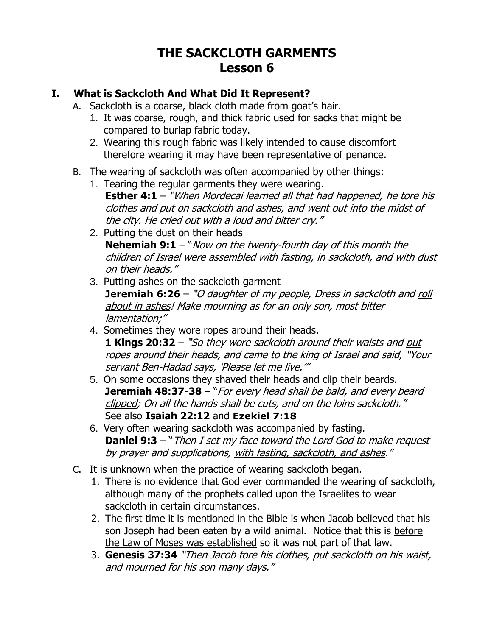# **THE SACKCLOTH GARMENTS Lesson 6**

### **I. What is Sackcloth And What Did It Represent?**

- A. Sackcloth is a coarse, black cloth made from goat's hair.
	- 1. It was coarse, rough, and thick fabric used for sacks that might be compared to burlap fabric today.
	- 2. Wearing this rough fabric was likely intended to cause discomfort therefore wearing it may have been representative of penance.
- B. The wearing of sackcloth was often accompanied by other things:
	- 1. Tearing the regular garments they were wearing. **Esther 4:1** – "When Mordecai learned all that had happened, he tore his clothes and put on sackcloth and ashes, and went out into the midst of the city. He cried out with a loud and bitter cry."
	- 2. Putting the dust on their heads **Nehemiah 9:1** – "*Now on the twenty-fourth day of this month the* children of Israel were assembled with fasting, in sackcloth, and with dust on their heads."
	- 3. Putting ashes on the sackcloth garment **[Jeremiah 6:26](http://www.biblegateway.com/passage/?search=Jeremiah+6:26&version=NKJV)** – "O daughter of my people, Dress in sackcloth and roll about in ashes! Make mourning as for an only son, most bitter lamentation;"
	- 4. Sometimes they wore ropes around their heads. **[1 Kings 20:32](http://www.biblegateway.com/passage/?search=1%20Kings+20:32&version=NKJV)** – "So they wore sackcloth around their waists and put ropes around their heads, and came to the king of Israel and said, "Your servant Ben-Hadad says, 'Please let me live.'"
	- 5. On some occasions they shaved their heads and clip their beards. **Jeremiah 48:37-38** – "For every head shall be bald, and every beard clipped; On all the hands shall be cuts, and on the loins sackcloth." See also **[Isaiah](http://www.biblegateway.com/passage/?search=Isaiah+22:12&version=NKJV) 22:12** and **[Ezekiel 7:18](http://www.biblegateway.com/passage/?search=Ezekiel+7:18&version=NKJV)**
	- 6. Very often wearing sackcloth was accompanied by fasting. **[Daniel 9:3](http://www.biblegateway.com/passage/?search=Daniel+9:3&version=NKJV)** – "Then I set my face toward the Lord God to make request by prayer and supplications, with fasting, sackcloth, and ashes."
- C. It is unknown when the practice of wearing sackcloth began.
	- 1. There is no evidence that God ever commanded the wearing of sackcloth, although many of the prophets called upon the Israelites to wear sackcloth in certain circumstances.
	- 2. The first time it is mentioned in the Bible is when Jacob believed that his son Joseph had been eaten by a wild animal. Notice that this is before the Law of Moses was established so it was not part of that law.
	- 3. **[Genesis 37:34](http://www.biblegateway.com/passage/?search=Genesis+37:34&version=NKJV)** "Then Jacob tore his clothes, put sackcloth on his waist, and mourned for his son many days."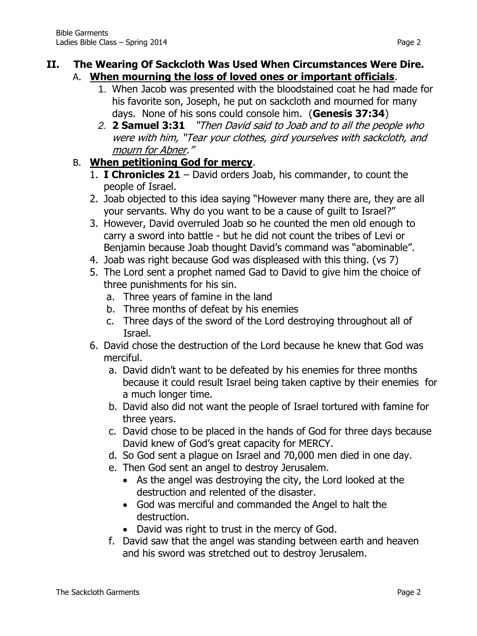#### **II. The Wearing Of Sackcloth Was Used When Circumstances Were Dire.** A. **When mourning the loss of loved ones or important officials**.

- 1. When Jacob was presented with the bloodstained coat he had made for his favorite son, Joseph, he put on sackcloth and mourned for many days. None of his sons could console him. (**Genesis 37:34**)
- *2.* **[2 Samuel 3:31](http://www.biblegateway.com/passage/?search=2%20Samuel+3:31&version=NKJV)** "Then David said to Joab and to all the people who were with him, "Tear your clothes, gird yourselves with sackcloth, and mourn for Abner."

### B. **When petitioning God for mercy**.

- 1. **I Chronicles 21** David orders Joab, his commander, to count the people of Israel.
- 2. Joab objected to this idea saying "However many there are, they are all your servants. Why do you want to be a cause of guilt to Israel?"
- 3. However, David overruled Joab so he counted the men old enough to carry a sword into battle - but he did not count the tribes of Levi or Benjamin because Joab thought David's command was "abominable".
- 4. Joab was right because God was displeased with this thing. (vs 7)
- 5. The Lord sent a prophet named Gad to David to give him the choice of three punishments for his sin.
	- a. Three years of famine in the land
	- b. Three months of defeat by his enemies
	- c. Three days of the sword of the Lord destroying throughout all of Israel.
- 6. David chose the destruction of the Lord because he knew that God was merciful.
	- a. David didn't want to be defeated by his enemies for three months because it could result Israel being taken captive by their enemies for a much longer time.
	- b. David also did not want the people of Israel tortured with famine for three years.
	- c. David chose to be placed in the hands of God for three days because David knew of God's great capacity for MERCY.
	- d. So God sent a plague on Israel and 70,000 men died in one day.
	- e. Then God sent an angel to destroy Jerusalem.
		- As the angel was destroying the city, the Lord looked at the destruction and relented of the disaster.
		- God was merciful and commanded the Angel to halt the destruction.
		- David was right to trust in the mercy of God.
	- f. David saw that the angel was standing between earth and heaven and his sword was stretched out to destroy Jerusalem.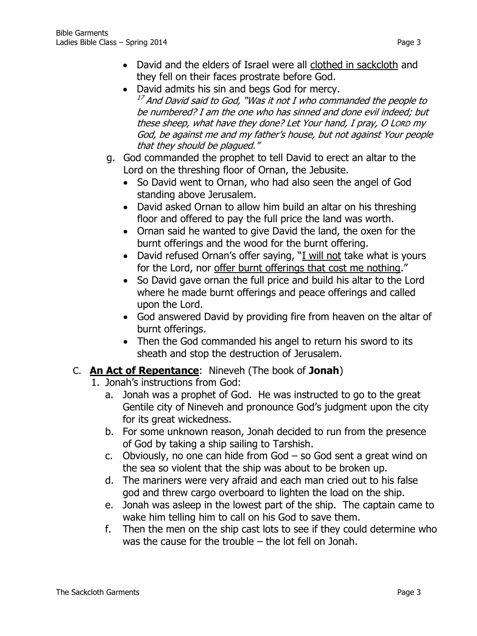- David and the elders of Israel were all clothed in sackcloth and they fell on their faces prostrate before God.
- David admits his sin and begs God for mercy.  $^{17}$  And David said to God, "Was it not I who commanded the people to be numbered? I am the one who has sinned and done evil indeed; but these sheep, what have they done? Let Your hand, I pray, O LORD my God, be against me and my father's house, but not against Your people that they should be plagued."
- g. God commanded the prophet to tell David to erect an altar to the Lord on the threshing floor of Ornan, the Jebusite.
	- So David went to Ornan, who had also seen the angel of God standing above Jerusalem.
	- David asked Ornan to allow him build an altar on his threshing floor and offered to pay the full price the land was worth.
	- Ornan said he wanted to give David the land, the oxen for the burnt offerings and the wood for the burnt offering.
	- David refused Ornan's offer saying, "I will not take what is yours for the Lord, nor offer burnt offerings that cost me nothing."
	- So David gave ornan the full price and build his altar to the Lord where he made burnt offerings and peace offerings and called upon the Lord.
	- God answered David by providing fire from heaven on the altar of burnt offerings.
	- Then the God commanded his angel to return his sword to its sheath and stop the destruction of Jerusalem.

## C. **An Act of Repentance**: Nineveh (The book of **Jonah**)

- 1. Jonah's instructions from God:
	- a. Jonah was a prophet of God. He was instructed to go to the great Gentile city of Nineveh and pronounce God's judgment upon the city for its great wickedness.
	- b. For some unknown reason, Jonah decided to run from the presence of God by taking a ship sailing to Tarshish.
	- c. Obviously, no one can hide from God so God sent a great wind on the sea so violent that the ship was about to be broken up.
	- d. The mariners were very afraid and each man cried out to his false god and threw cargo overboard to lighten the load on the ship.
	- e. Jonah was asleep in the lowest part of the ship. The captain came to wake him telling him to call on his God to save them.
	- f. Then the men on the ship cast lots to see if they could determine who was the cause for the trouble – the lot fell on Jonah.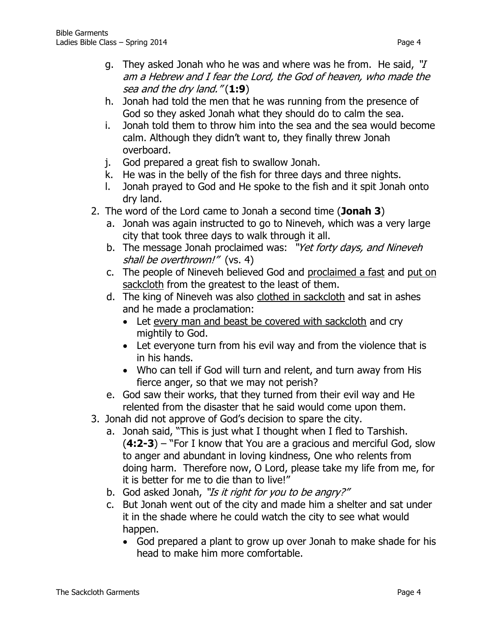- g. They asked Jonah who he was and where was he from. He said, "I am a Hebrew and I fear the Lord, the God of heaven, who made the sea and the dry land." (**1:9**)
- h. Jonah had told the men that he was running from the presence of God so they asked Jonah what they should do to calm the sea.
- i. Jonah told them to throw him into the sea and the sea would become calm. Although they didn't want to, they finally threw Jonah overboard.
- j. God prepared a great fish to swallow Jonah.
- k. He was in the belly of the fish for three days and three nights.
- l. Jonah prayed to God and He spoke to the fish and it spit Jonah onto dry land.
- 2. The word of the Lord came to Jonah a second time (**Jonah 3**)
	- a. Jonah was again instructed to go to Nineveh, which was a very large city that took three days to walk through it all.
	- b. The message Jonah proclaimed was: "Yet forty days, and Nineveh shall be overthrown!" (vs. 4)
	- c. The people of Nineveh believed God and proclaimed a fast and put on sackcloth from the greatest to the least of them.
	- d. The king of Nineveh was also clothed in sackcloth and sat in ashes and he made a proclamation:
		- Let every man and beast be covered with sackcloth and cry mightily to God.
		- Let everyone turn from his evil way and from the violence that is in his hands.
		- Who can tell if God will turn and relent, and turn away from His fierce anger, so that we may not perish?
	- e. God saw their works, that they turned from their evil way and He relented from the disaster that he said would come upon them.
- 3. Jonah did not approve of God's decision to spare the city.
	- a. Jonah said, "This is just what I thought when I fled to Tarshish. (**4:2-3**) – "For I know that You are a gracious and merciful God, slow to anger and abundant in loving kindness, One who relents from doing harm. Therefore now, O Lord, please take my life from me, for it is better for me to die than to live!"
	- b. God asked Jonah, "Is it right for you to be angry?"
	- c. But Jonah went out of the city and made him a shelter and sat under it in the shade where he could watch the city to see what would happen.
		- God prepared a plant to grow up over Jonah to make shade for his head to make him more comfortable.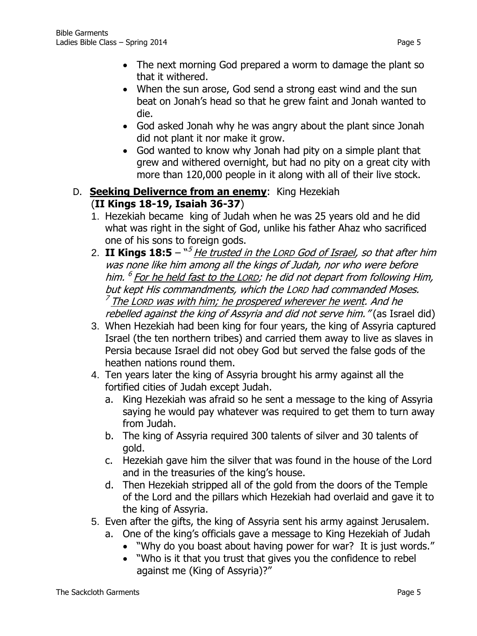- The next morning God prepared a worm to damage the plant so that it withered.
- When the sun arose, God send a strong east wind and the sun beat on Jonah's head so that he grew faint and Jonah wanted to die.
- God asked Jonah why he was angry about the plant since Jonah did not plant it nor make it grow.
- God wanted to know why Jonah had pity on a simple plant that grew and withered overnight, but had no pity on a great city with more than 120,000 people in it along with all of their live stock.

### D. **Seeking Delivernce from an enemy**: King Hezekiah (**II Kings 18-19, Isaiah 36-37**)

- 1. Hezekiah became king of Judah when he was 25 years old and he did what was right in the sight of God, unlike his father Ahaz who sacrificed one of his sons to foreign gods.
- 2. II Kings 18:5  $``^{5}$  <u>He trusted in the LORD God of Israel</u>, so that after him was none like him among all the kings of Judah, nor who were before him. <sup>6</sup> <u>For he held fast to the Lorp</u>; he did not depart from following Him, but kept His commandments, which the LORD had commanded Moses. <sup>7</sup> The Lorp was with him; he prospered wherever he went. And he rebelled against the king of Assyria and did not serve him. "(as Israel did)
- 3. When Hezekiah had been king for four years, the king of Assyria captured Israel (the ten northern tribes) and carried them away to live as slaves in Persia because Israel did not obey God but served the false gods of the heathen nations round them.
- 4. Ten years later the king of Assyria brought his army against all the fortified cities of Judah except Judah.
	- a. King Hezekiah was afraid so he sent a message to the king of Assyria saying he would pay whatever was required to get them to turn away from Judah.
	- b. The king of Assyria required 300 talents of silver and 30 talents of gold.
	- c. Hezekiah gave him the silver that was found in the house of the Lord and in the treasuries of the king's house.
	- d. Then Hezekiah stripped all of the gold from the doors of the Temple of the Lord and the pillars which Hezekiah had overlaid and gave it to the king of Assyria.
- 5. Even after the gifts, the king of Assyria sent his army against Jerusalem.
	- a. One of the king's officials gave a message to King Hezekiah of Judah
		- "Why do you boast about having power for war? It is just words."
		- "Who is it that you trust that gives you the confidence to rebel against me (King of Assyria)?"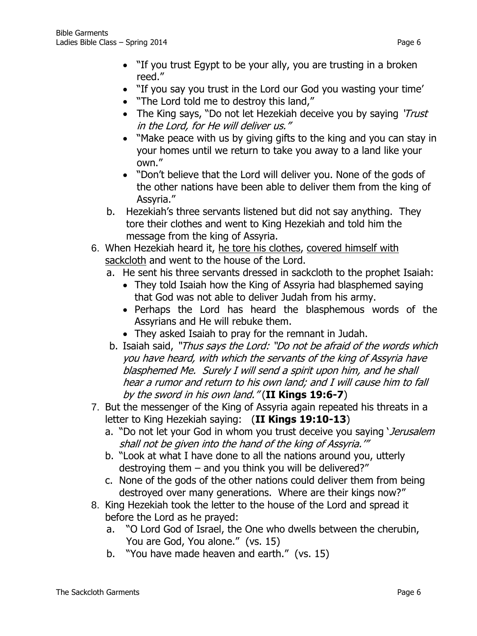- "If you trust Egypt to be your ally, you are trusting in a broken reed."
- "If you say you trust in the Lord our God you wasting your time'
- . "The Lord told me to destroy this land,"
- The King says, "Do not let Hezekiah deceive you by saying 'Trust in the Lord, for He will deliver us."
- "Make peace with us by giving gifts to the king and you can stay in your homes until we return to take you away to a land like your own."
- "Don't believe that the Lord will deliver you. None of the gods of the other nations have been able to deliver them from the king of Assyria."
- b. Hezekiah's three servants listened but did not say anything. They tore their clothes and went to King Hezekiah and told him the message from the king of Assyria.
- 6. When Hezekiah heard it, he tore his clothes, covered himself with sackcloth and went to the house of the Lord.
	- a. He sent his three servants dressed in sackcloth to the prophet Isaiah:
		- They told Isaiah how the King of Assyria had blasphemed saying that God was not able to deliver Judah from his army.
		- Perhaps the Lord has heard the blasphemous words of the Assyrians and He will rebuke them.
		- They asked Isaiah to pray for the remnant in Judah.
	- b. Isaiah said, "Thus says the Lord: "Do not be afraid of the words which you have heard, with which the servants of the king of Assyria have blasphemed Me. Surely I will send a spirit upon him, and he shall hear a rumor and return to his own land; and I will cause him to fall by the sword in his own land." (**II Kings 19:6-7**)
- 7. But the messenger of the King of Assyria again repeated his threats in a letter to King Hezekiah saying: (**II Kings 19:10-13**)
	- a. "Do not let your God in whom you trust deceive you saying 'Jerusalem' shall not be given into the hand of the king of Assyria.'"
	- b. "Look at what I have done to all the nations around you, utterly destroying them – and you think you will be delivered?"
	- c. None of the gods of the other nations could deliver them from being destroyed over many generations. Where are their kings now?"
- 8. King Hezekiah took the letter to the house of the Lord and spread it before the Lord as he prayed:
	- a. "O Lord God of Israel, the One who dwells between the cherubin, You are God, You alone." (vs. 15)
	- b. "You have made heaven and earth." (vs. 15)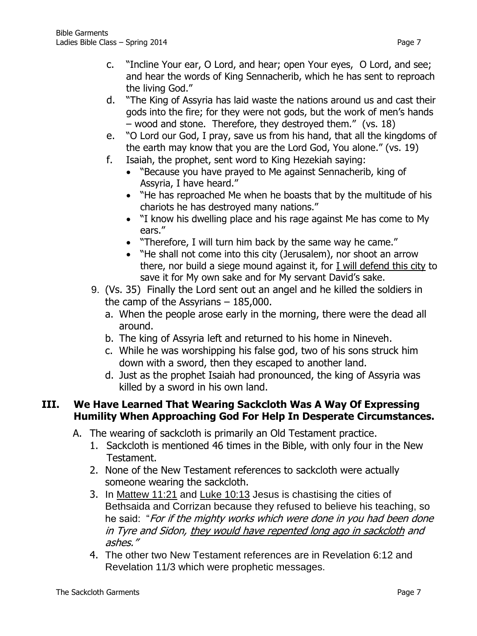- c. "Incline Your ear, O Lord, and hear; open Your eyes, O Lord, and see; and hear the words of King Sennacherib, which he has sent to reproach the living God."
- d. "The King of Assyria has laid waste the nations around us and cast their gods into the fire; for they were not gods, but the work of men's hands – wood and stone. Therefore, they destroyed them." (vs. 18)
- e. "O Lord our God, I pray, save us from his hand, that all the kingdoms of the earth may know that you are the Lord God, You alone." (vs. 19)
- f. Isaiah, the prophet, sent word to King Hezekiah saying:
	- "Because you have prayed to Me against Sennacherib, king of Assyria, I have heard."
	- "He has reproached Me when he boasts that by the multitude of his chariots he has destroyed many nations."
	- "I know his dwelling place and his rage against Me has come to My ears."
	- "Therefore, I will turn him back by the same way he came."
	- "He shall not come into this city (Jerusalem), nor shoot an arrow there, nor build a siege mound against it, for I will defend this city to save it for My own sake and for My servant David's sake.
- 9. (Vs. 35) Finally the Lord sent out an angel and he killed the soldiers in the camp of the Assyrians – 185,000.
	- a. When the people arose early in the morning, there were the dead all around.
	- b. The king of Assyria left and returned to his home in Nineveh.
	- c. While he was worshipping his false god, two of his sons struck him down with a sword, then they escaped to another land.
	- d. Just as the prophet Isaiah had pronounced, the king of Assyria was killed by a sword in his own land.

### **III. We Have Learned That Wearing Sackcloth Was A Way Of Expressing Humility When Approaching God For Help In Desperate Circumstances.**

- A. The wearing of sackcloth is primarily an Old Testament practice.
	- 1. Sackcloth is mentioned 46 times in the Bible, with only four in the New Testament.
	- 2. None of the New Testament references to sackcloth were actually someone wearing the sackcloth.
	- 3. In Mattew 11:21 and Luke 10:13 Jesus is chastising the cities of Bethsaida and Corrizan because they refused to believe his teaching, so he said: "For if the mighty works which were done in you had been done in Tyre and Sidon, they would have repented long ago in sackcloth and ashes."
	- 4. The other two New Testament references are in Revelation 6:12 and Revelation 11/3 which were prophetic messages.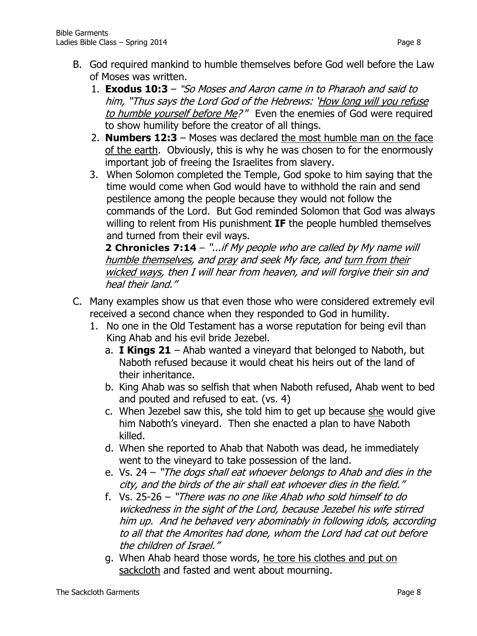- B. God required mankind to humble themselves before God well before the Law of Moses was written.
	- 1. **Exodus 10:3**  "So Moses and Aaron came in to Pharaoh and said to him, "Thus says the Lord God of the Hebrews: 'How long will you refuse to humble yourself before Me?" Even the enemies of God were required to show humility before the creator of all things.
	- 2. **Numbers 12:3** Moses was declared the most humble man on the face of the earth. Obviously, this is why he was chosen to for the enormously important job of freeing the Israelites from slavery.
	- 3. When Solomon completed the Temple, God spoke to him saying that the time would come when God would have to withhold the rain and send pestilence among the people because they would not follow the commands of the Lord. But God reminded Solomon that God was always willing to relent from His punishment **IF** the people humbled themselves and turned from their evil ways.

**[2 Chronicles 7:14](http://www.biblegateway.com/passage/?search=2%20Chronicles+7:14&version=NKJV)** – "...if My people who are called by My name will humble themselves, and pray and seek My face, and turn from their wicked ways, then I will hear from heaven, and will forgive their sin and heal their land."

- C. Many examples show us that even those who were considered extremely evil received a second chance when they responded to God in humility.
	- 1. No one in the Old Testament has a worse reputation for being evil than King Ahab and his evil bride Jezebel.
		- a. **I Kings 21** Ahab wanted a vineyard that belonged to Naboth, but Naboth refused because it would cheat his heirs out of the land of their inheritance.
		- b. King Ahab was so selfish that when Naboth refused, Ahab went to bed and pouted and refused to eat. (vs. 4)
		- c. When Jezebel saw this, she told him to get up because she would give him Naboth's vineyard. Then she enacted a plan to have Naboth killed.
		- d. When she reported to Ahab that Naboth was dead, he immediately went to the vineyard to take possession of the land.
		- e. Vs. 24 "The dogs shall eat whoever belongs to Ahab and dies in the city, and the birds of the air shall eat whoever dies in the field."
		- f. Vs. 25-26 "There was no one like Ahab who sold himself to do wickedness in the sight of the Lord, because Jezebel his wife stirred him up. And he behaved very abominably in following idols, according to all that the Amorites had done, whom the Lord had cat out before the children of Israel."
		- g. When Ahab heard those words, he tore his clothes and put on sackcloth and fasted and went about mourning.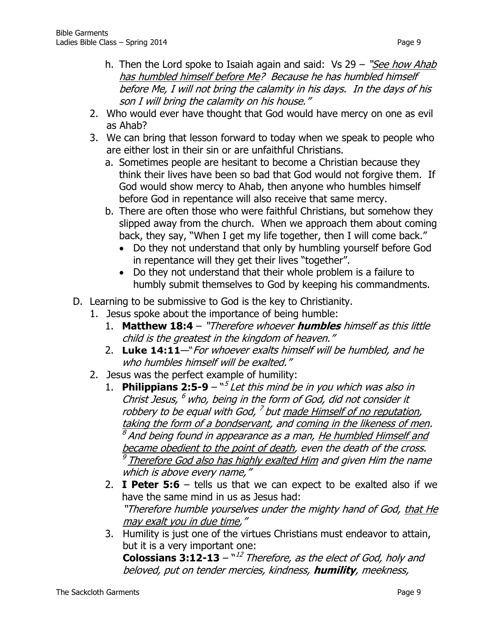- h. Then the Lord spoke to Isaiah again and said:  $Vs$  29 "*See how Ahab* has humbled himself before Me? Because he has humbled himself before Me, I will not bring the calamity in his days. In the days of his son I will bring the calamity on his house."
- 2. Who would ever have thought that God would have mercy on one as evil as Ahab?
- 3. We can bring that lesson forward to today when we speak to people who are either lost in their sin or are unfaithful Christians.
	- a. Sometimes people are hesitant to become a Christian because they think their lives have been so bad that God would not forgive them. If God would show mercy to Ahab, then anyone who humbles himself before God in repentance will also receive that same mercy.
	- b. There are often those who were faithful Christians, but somehow they slipped away from the church. When we approach them about coming back, they say, "When I get my life together, then I will come back."
		- Do they not understand that only by humbling yourself before God in repentance will they get their lives "together".
		- Do they not understand that their whole problem is a failure to humbly submit themselves to God by keeping his commandments.
- D. Learning to be submissive to God is the key to Christianity.
	- 1. Jesus spoke about the importance of being humble:
		- 1. **Matthew 18:4** "Therefore whoever **humbles** himself as this little child is the greatest in the kingdom of heaven."
		- 2. **[Luke 14:11](http://www.biblegateway.com/passage/?search=Luke+14:11&version=NKJV)**—"For whoever exalts himself will be humbled, and he who humbles himself will be exalted."
	- 2. Jesus was the perfect example of humility:
		- 1. **Philippians 2:5-9**  $-\sqrt[3]{}$  Let this mind be in you which was also in Christ Jesus, <sup>6</sup> who, being in the form of God, did not consider it robbery to be equal with God, <sup>7</sup> but <u>made Himself of no reputation</u>, taking the form of a bondservant, and coming in the likeness of men. <sup>8</sup> And being found in appearance as a man, <u>He humbled Himself and</u> became obedient to the point of death, even the death of the cross.  $^9$  Therefore God also has highly exalted Him and given Him the name which is above every name,"
		- 2. **I Peter 5:6**  tells us that we can expect to be exalted also if we have the same mind in us as Jesus had: "Therefore humble yourselves under the mighty hand of God, that He may exalt you in due time,"
		- 3. Humility is just one of the virtues Christians must endeavor to attain, but it is a very important one: **Colossians 3:12-13** – "<sup>12</sup> Therefore, as the elect of God, holy and

beloved, put on tender mercies, kindness, **humility**, meekness,